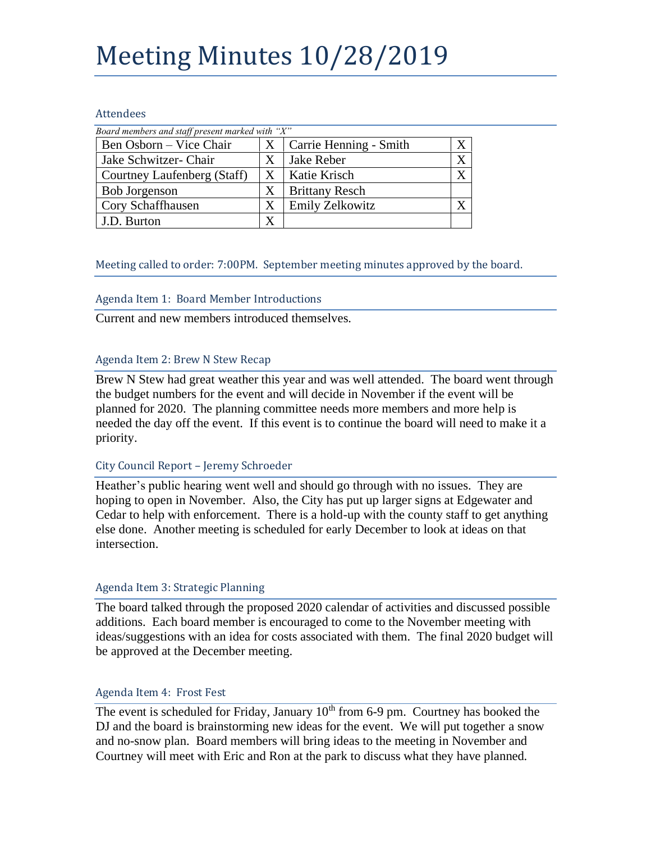# Meeting Minutes 10/28/2019

#### Attendees

| Board members and staff present marked with "X" |   |                        |  |
|-------------------------------------------------|---|------------------------|--|
| Ben Osborn – Vice Chair                         | X | Carrie Henning - Smith |  |
| Jake Schwitzer- Chair                           | X | Jake Reber             |  |
| Courtney Laufenberg (Staff)                     | X | Katie Krisch           |  |
| <b>Bob Jorgenson</b>                            | X | <b>Brittany Resch</b>  |  |
| Cory Schaffhausen                               | Х | <b>Emily Zelkowitz</b> |  |
| J.D. Burton                                     | X |                        |  |

## Meeting called to order: 7:00PM. September meeting minutes approved by the board.

### Agenda Item 1: Board Member Introductions

Current and new members introduced themselves.

### Agenda Item 2: Brew N Stew Recap

Brew N Stew had great weather this year and was well attended. The board went through the budget numbers for the event and will decide in November if the event will be planned for 2020. The planning committee needs more members and more help is needed the day off the event. If this event is to continue the board will need to make it a priority.

#### City Council Report – Jeremy Schroeder

Heather's public hearing went well and should go through with no issues. They are hoping to open in November. Also, the City has put up larger signs at Edgewater and Cedar to help with enforcement. There is a hold-up with the county staff to get anything else done. Another meeting is scheduled for early December to look at ideas on that intersection.

## Agenda Item 3: Strategic Planning

The board talked through the proposed 2020 calendar of activities and discussed possible additions. Each board member is encouraged to come to the November meeting with ideas/suggestions with an idea for costs associated with them. The final 2020 budget will be approved at the December meeting.

#### Agenda Item 4: Frost Fest

The event is scheduled for Friday, January 10<sup>th</sup> from 6-9 pm. Courtney has booked the DJ and the board is brainstorming new ideas for the event. We will put together a snow and no-snow plan. Board members will bring ideas to the meeting in November and Courtney will meet with Eric and Ron at the park to discuss what they have planned.